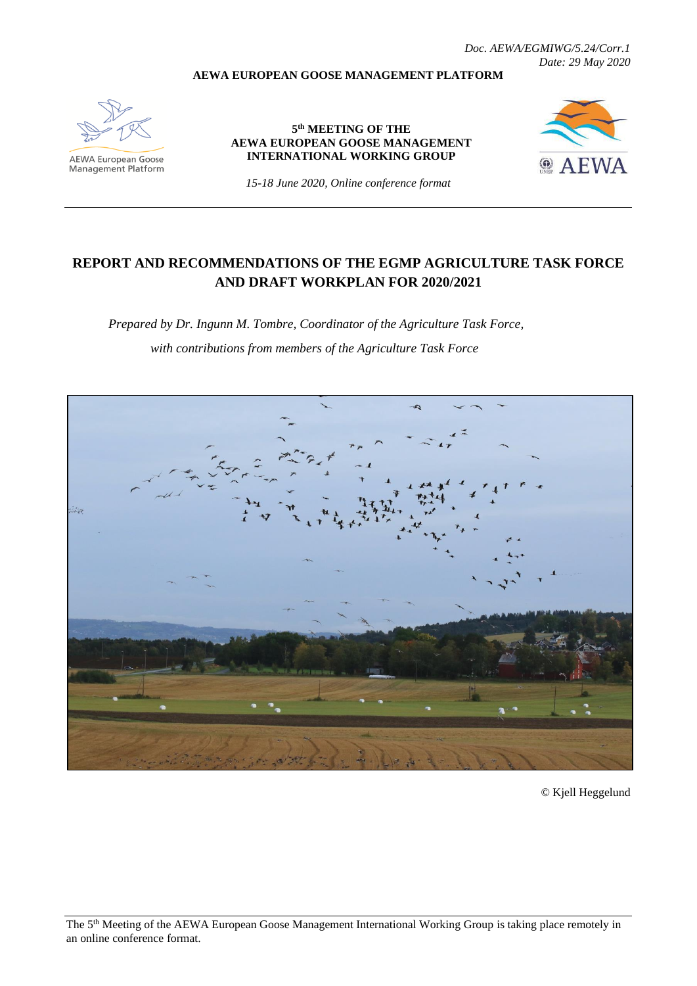*Doc. AEWA/EGMIWG/5.24/Corr.1 Date: 29 May 2020*

#### **AEWA EUROPEAN GOOSE MANAGEMENT PLATFORM**



AEWA European Goose<br>Management Platform

**5 th MEETING OF THE AEWA EUROPEAN GOOSE MANAGEMENT INTERNATIONAL WORKING GROUP**



*15-18 June 2020, Online conference format*

# **REPORT AND RECOMMENDATIONS OF THE EGMP AGRICULTURE TASK FORCE AND DRAFT WORKPLAN FOR 2020/2021**

*Prepared by Dr. Ingunn M. Tombre, Coordinator of the Agriculture Task Force, with contributions from members of the Agriculture Task Force*



© Kjell Heggelund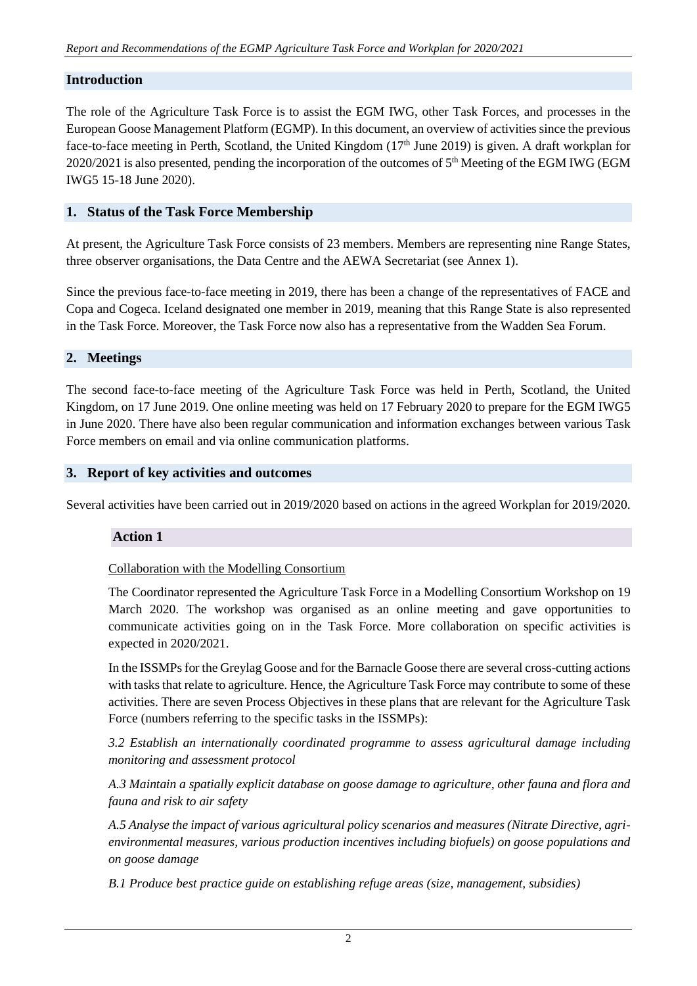# **Introduction**

The role of the Agriculture Task Force is to assist the EGM IWG, other Task Forces, and processes in the European Goose Management Platform (EGMP). In this document, an overview of activities since the previous face-to-face meeting in Perth, Scotland, the United Kingdom (17<sup>th</sup> June 2019) is given. A draft workplan for 2020/2021 is also presented, pending the incorporation of the outcomes of 5<sup>th</sup> Meeting of the EGM IWG (EGM IWG5 15-18 June 2020).

## **1. Status of the Task Force Membership**

At present, the Agriculture Task Force consists of 23 members. Members are representing nine Range States, three observer organisations, the Data Centre and the AEWA Secretariat (see Annex 1).

Since the previous face-to-face meeting in 2019, there has been a change of the representatives of FACE and Copa and Cogeca. Iceland designated one member in 2019, meaning that this Range State is also represented in the Task Force. Moreover, the Task Force now also has a representative from the Wadden Sea Forum.

### **2. Meetings**

The second face-to-face meeting of the Agriculture Task Force was held in Perth, Scotland, the United Kingdom, on 17 June 2019. One online meeting was held on 17 February 2020 to prepare for the EGM IWG5 in June 2020. There have also been regular communication and information exchanges between various Task Force members on email and via online communication platforms.

### **3. Report of key activities and outcomes**

Several activities have been carried out in 2019/2020 based on actions in the agreed Workplan for 2019/2020.

# **Action 1**

#### Collaboration with the Modelling Consortium

The Coordinator represented the Agriculture Task Force in a Modelling Consortium Workshop on 19 March 2020. The workshop was organised as an online meeting and gave opportunities to communicate activities going on in the Task Force. More collaboration on specific activities is expected in 2020/2021.

In the ISSMPs for the Greylag Goose and for the Barnacle Goose there are several cross-cutting actions with tasks that relate to agriculture. Hence, the Agriculture Task Force may contribute to some of these activities. There are seven Process Objectives in these plans that are relevant for the Agriculture Task Force (numbers referring to the specific tasks in the ISSMPs):

*3.2 Establish an internationally coordinated programme to assess agricultural damage including monitoring and assessment protocol*

*A.3 Maintain a spatially explicit database on goose damage to agriculture, other fauna and flora and fauna and risk to air safety*

*A.5 Analyse the impact of various agricultural policy scenarios and measures (Nitrate Directive, agrienvironmental measures, various production incentives including biofuels) on goose populations and on goose damage*

*B.1 Produce best practice guide on establishing refuge areas (size, management, subsidies)*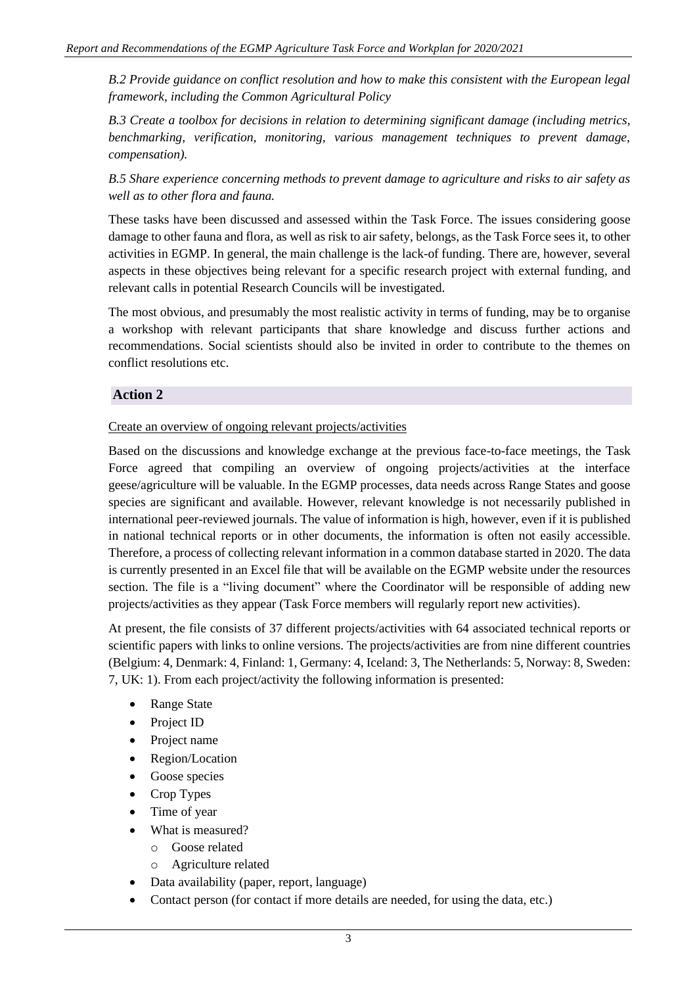*B.2 Provide guidance on conflict resolution and how to make this consistent with the European legal framework, including the Common Agricultural Policy*

*B.3 Create a toolbox for decisions in relation to determining significant damage (including metrics, benchmarking, verification, monitoring, various management techniques to prevent damage, compensation).*

*B.5 Share experience concerning methods to prevent damage to agriculture and risks to air safety as well as to other flora and fauna.*

These tasks have been discussed and assessed within the Task Force. The issues considering goose damage to other fauna and flora, as well as risk to air safety, belongs, as the Task Force sees it, to other activities in EGMP. In general, the main challenge is the lack-of funding. There are, however, several aspects in these objectives being relevant for a specific research project with external funding, and relevant calls in potential Research Councils will be investigated.

The most obvious, and presumably the most realistic activity in terms of funding, may be to organise a workshop with relevant participants that share knowledge and discuss further actions and recommendations. Social scientists should also be invited in order to contribute to the themes on conflict resolutions etc.

### **Action 2**

Create an overview of ongoing relevant projects/activities

Based on the discussions and knowledge exchange at the previous face-to-face meetings, the Task Force agreed that compiling an overview of ongoing projects/activities at the interface geese/agriculture will be valuable. In the EGMP processes, data needs across Range States and goose species are significant and available. However, relevant knowledge is not necessarily published in international peer-reviewed journals. The value of information is high, however, even if it is published in national technical reports or in other documents, the information is often not easily accessible. Therefore, a process of collecting relevant information in a common database started in 2020. The data is currently presented in an Excel file that will be available on the EGMP website under the resources section. The file is a "living document" where the Coordinator will be responsible of adding new projects/activities as they appear (Task Force members will regularly report new activities).

At present, the file consists of 37 different projects/activities with 64 associated technical reports or scientific papers with links to online versions. The projects/activities are from nine different countries (Belgium: 4, Denmark: 4, Finland: 1, Germany: 4, Iceland: 3, The Netherlands: 5, Norway: 8, Sweden: 7, UK: 1). From each project/activity the following information is presented:

- Range State
- Project ID
- Project name
- Region/Location
- Goose species
- Crop Types
- Time of year
- What is measured?
	- o Goose related
	- o Agriculture related
- Data availability (paper, report, language)
- Contact person (for contact if more details are needed, for using the data, etc.)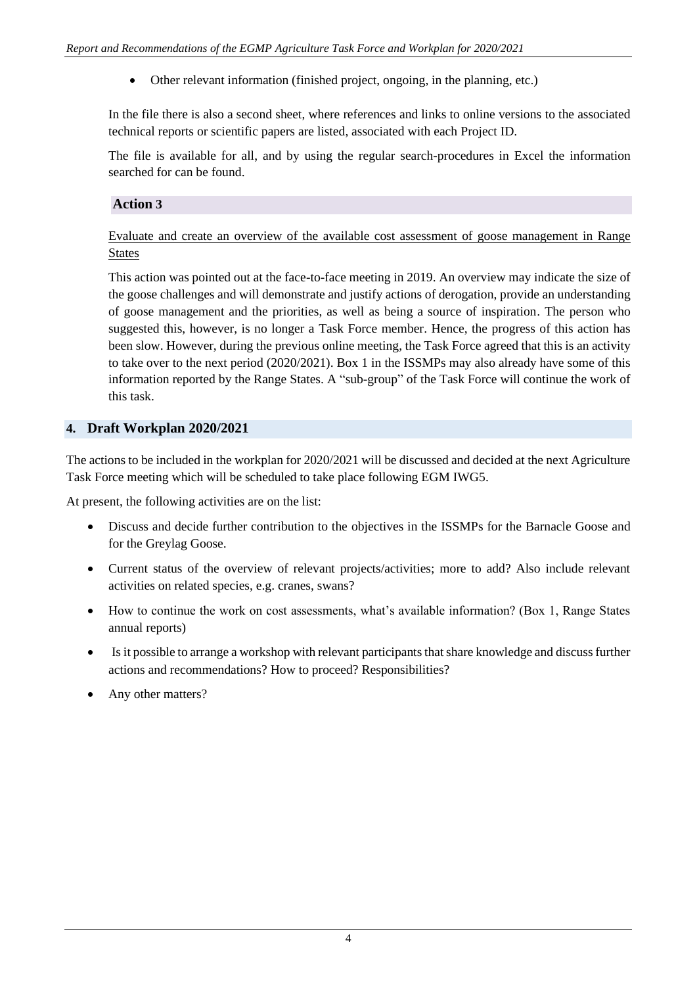• Other relevant information (finished project, ongoing, in the planning, etc.)

In the file there is also a second sheet, where references and links to online versions to the associated technical reports or scientific papers are listed, associated with each Project ID.

The file is available for all, and by using the regular search-procedures in Excel the information searched for can be found.

# **Action 3**

# Evaluate and create an overview of the available cost assessment of goose management in Range States

This action was pointed out at the face-to-face meeting in 2019. An overview may indicate the size of the goose challenges and will demonstrate and justify actions of derogation, provide an understanding of goose management and the priorities, as well as being a source of inspiration. The person who suggested this, however, is no longer a Task Force member. Hence, the progress of this action has been slow. However, during the previous online meeting, the Task Force agreed that this is an activity to take over to the next period (2020/2021). Box 1 in the ISSMPs may also already have some of this information reported by the Range States. A "sub-group" of the Task Force will continue the work of this task.

### **4. Draft Workplan 2020/2021**

The actions to be included in the workplan for 2020/2021 will be discussed and decided at the next Agriculture Task Force meeting which will be scheduled to take place following EGM IWG5.

At present, the following activities are on the list:

- Discuss and decide further contribution to the objectives in the ISSMPs for the Barnacle Goose and for the Greylag Goose.
- Current status of the overview of relevant projects/activities; more to add? Also include relevant activities on related species, e.g. cranes, swans?
- How to continue the work on cost assessments, what's available information? (Box 1, Range States annual reports)
- Is it possible to arrange a workshop with relevant participants that share knowledge and discuss further actions and recommendations? How to proceed? Responsibilities?
- Any other matters?